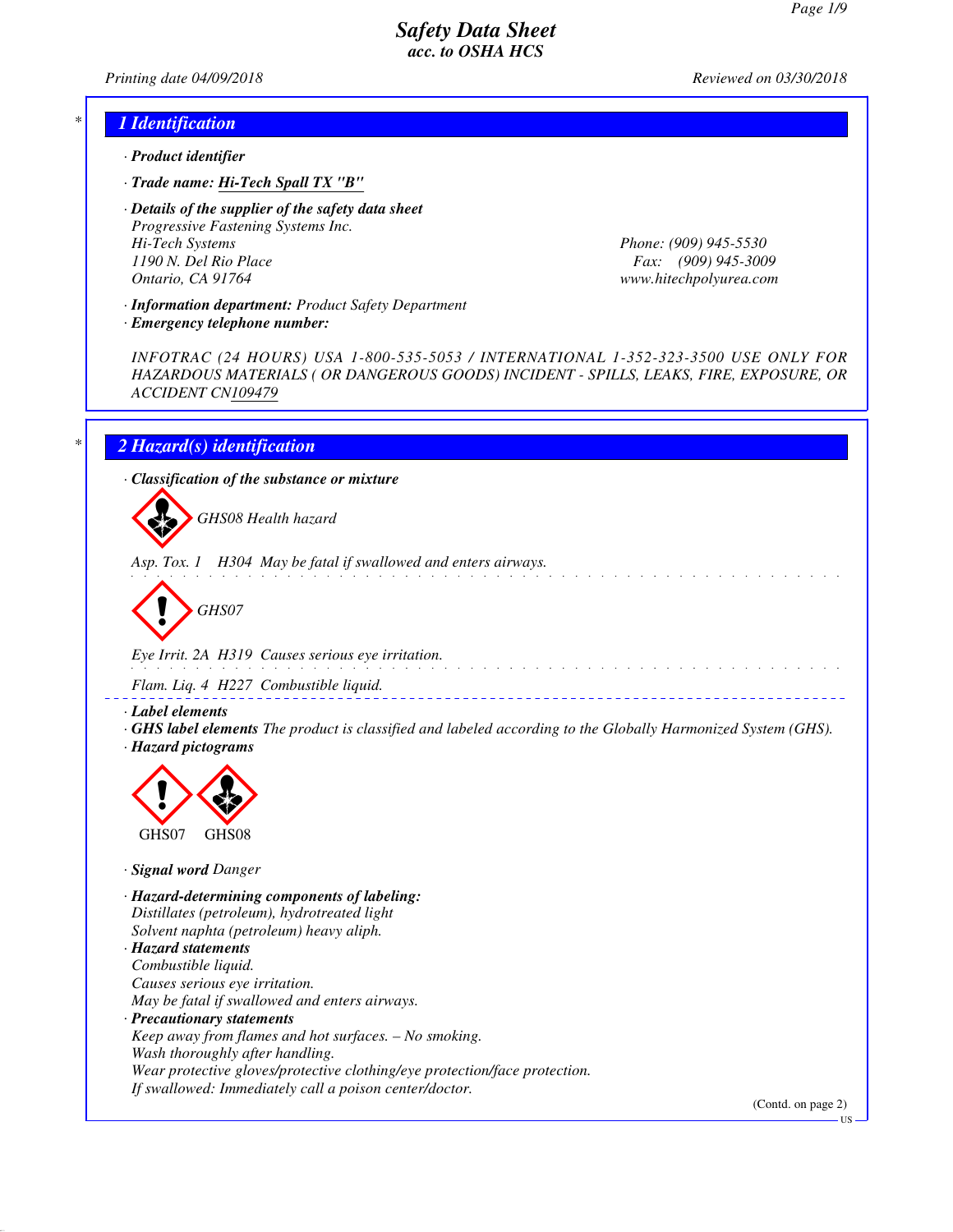*Printing date 04/09/2018 Reviewed on 03/30/2018*

## *\* 1 Identification*

- *· Product identifier*
- *· Trade name: Hi-Tech Spall TX "B"*
- *· Details of the supplier of the safety data sheet Progressive Fastening Systems Inc. Hi-Tech Systems Phone: (909) 945-5530 1190 N. Del Rio Place Fax: (909) 945-3009 Ontario, CA 91764 www.hitechpolyurea.com*

*· Information department: Product Safety Department*

*INFOTRAC (24 HOURS) USA 1-800-535-5053 / INTERNATIONAL 1-352-323-3500 USE ONLY FOR HAZARDOUS MATERIALS ( OR DANGEROUS GOODS) INCIDENT - SPILLS, LEAKS, FIRE, EXPOSURE, OR ACCIDENT CN109479*

## *\* 2 Hazard(s) identification*

d~*GHS07*

*· Emergency telephone number:*

*· Classification of the substance or mixture*

d~*GHS08 Health hazard*

*Asp. Tox. 1 H304 May be fatal if swallowed and enters airways.*

*Eye Irrit. 2A H319 Causes serious eye irritation.*

*Flam. Liq. 4 H227 Combustible liquid.*

*· Label elements*

*· GHS label elements The product is classified and labeled according to the Globally Harmonized System (GHS). · Hazard pictograms*



*· Signal word Danger*

*· Hazard-determining components of labeling: Distillates (petroleum), hydrotreated light Solvent naphta (petroleum) heavy aliph. · Hazard statements Combustible liquid. Causes serious eye irritation. May be fatal if swallowed and enters airways.*

*· Precautionary statements*

*Keep away from flames and hot surfaces. – No smoking. Wash thoroughly after handling.*

*Wear protective gloves/protective clothing/eye protection/face protection. If swallowed: Immediately call a poison center/doctor.*

(Contd. on page 2)

US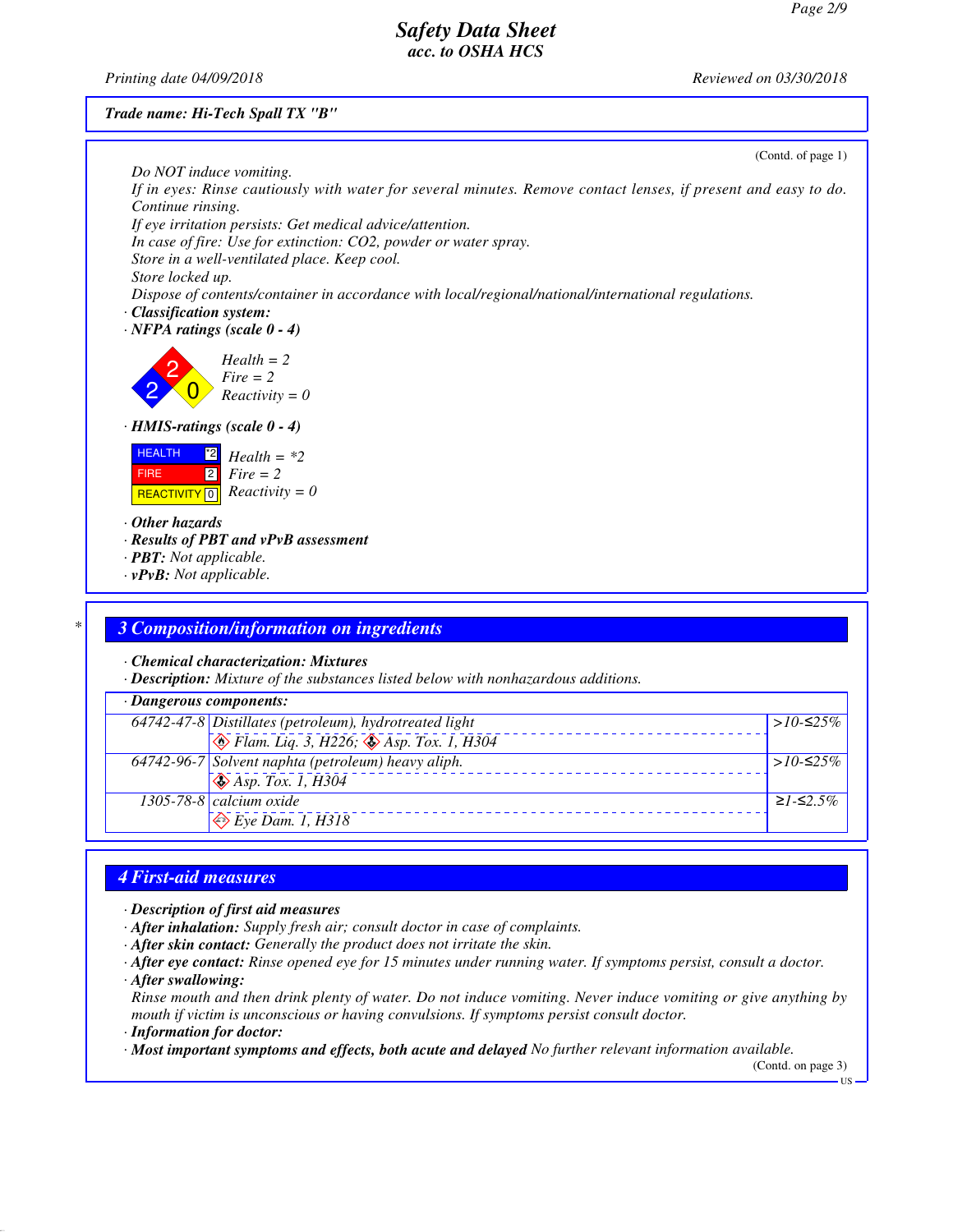*Printing date 04/09/2018 Reviewed on 03/30/2018*

*Trade name: Hi-Tech Spall TX "B"*

| Do NOT induce vomiting.                                                                                        | (Contd. of page 1) |
|----------------------------------------------------------------------------------------------------------------|--------------------|
| If in eyes: Rinse cautiously with water for several minutes. Remove contact lenses, if present and easy to do. |                    |
| Continue rinsing.                                                                                              |                    |
| If eye irritation persists: Get medical advice/attention.                                                      |                    |
| In case of fire: Use for extinction: CO2, powder or water spray.                                               |                    |
| Store in a well-ventilated place. Keep cool.                                                                   |                    |
| Store locked up.                                                                                               |                    |
| Dispose of contents/container in accordance with local/regional/national/international regulations.            |                    |
| · Classification system:                                                                                       |                    |
| $\cdot$ NFPA ratings (scale 0 - 4)                                                                             |                    |
| $Health = 2$                                                                                                   |                    |
| $Fire = 2$                                                                                                     |                    |
| $Reactivity = 0$                                                                                               |                    |
|                                                                                                                |                    |
| $\cdot$ HMIS-ratings (scale 0 - 4)                                                                             |                    |
| <b>HEALTH</b><br>$^{\ast 2}$<br>$Health = *2$                                                                  |                    |
| $\boxed{2}$<br>$Fire = 2$<br><b>FIRE</b>                                                                       |                    |
| $Reactivity = 0$<br><b>REACTIVITY</b> 0                                                                        |                    |
|                                                                                                                |                    |
| $\cdot$ Other hazards                                                                                          |                    |
| $\cdot$ Results of PBT and $vPvB$ assessment                                                                   |                    |
| · <b>PBT</b> : Not applicable.                                                                                 |                    |
| $\cdot$ vPvB: Not applicable.                                                                                  |                    |

#### *\* 3 Composition/information on ingredients*

*· Chemical characterization: Mixtures*

*· Description: Mixture of the substances listed below with nonhazardous additions.*

| $\cdot$ Dangerous components: |                                                                                                                                          |              |  |  |
|-------------------------------|------------------------------------------------------------------------------------------------------------------------------------------|--------------|--|--|
|                               | 64742-47-8 Distillates (petroleum), hydrotreated light<br>$\bigotimes$ Flam. Liq. 3, H226; $\bigotimes$ Asp. Tox. 1, H304<br>$>10$ -≤25% |              |  |  |
|                               |                                                                                                                                          |              |  |  |
|                               | 64742-96-7 Solvent naphta (petroleum) heavy aliph.<br>$\circledast$ Asp. Tox. 1, H304                                                    | > $10$ -≤25% |  |  |
|                               |                                                                                                                                          |              |  |  |
|                               | 1305-78-8 calcium oxide                                                                                                                  | $≥1-S2.5%$   |  |  |
|                               | $\leftrightarrow$ Eye Dam. 1, H318                                                                                                       |              |  |  |

# *4 First-aid measures*

*· Description of first aid measures*

- *· After inhalation: Supply fresh air; consult doctor in case of complaints.*
- *· After skin contact: Generally the product does not irritate the skin.*
- *· After eye contact: Rinse opened eye for 15 minutes under running water. If symptoms persist, consult a doctor.*
- *· After swallowing:*

*Rinse mouth and then drink plenty of water. Do not induce vomiting. Never induce vomiting or give anything by mouth if victim is unconscious or having convulsions. If symptoms persist consult doctor.*

*· Information for doctor:*

*· Most important symptoms and effects, both acute and delayed No further relevant information available.*

(Contd. on page 3)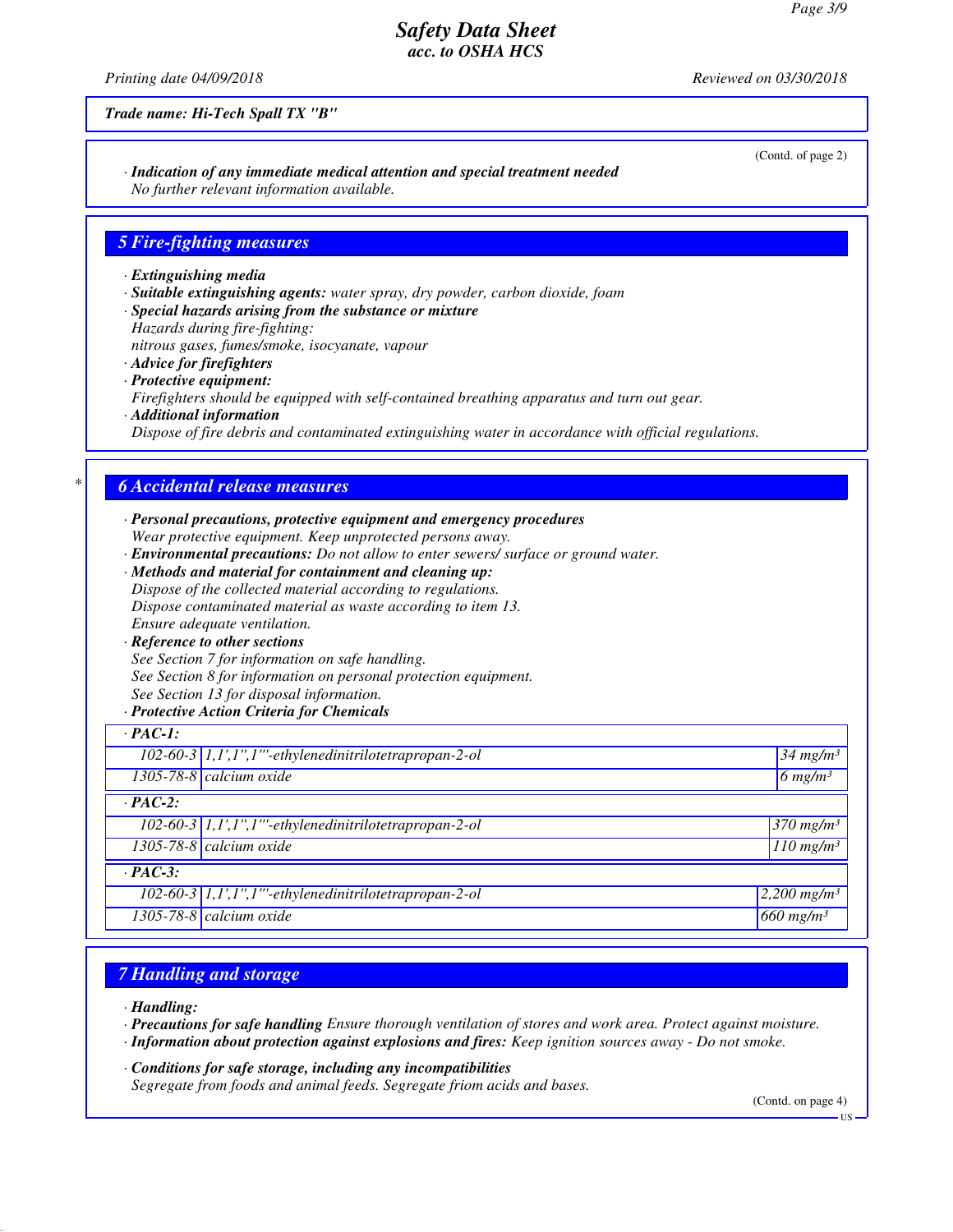*Printing date 04/09/2018 Reviewed on 03/30/2018*

*Trade name: Hi-Tech Spall TX "B"*

*· Indication of any immediate medical attention and special treatment needed No further relevant information available.*

#### *5 Fire-fighting measures*

- *· Extinguishing media*
- *· Suitable extinguishing agents: water spray, dry powder, carbon dioxide, foam*
- *· Special hazards arising from the substance or mixture Hazards during fire-fighting:*

*nitrous gases, fumes/smoke, isocyanate, vapour*

- *· Advice for firefighters · Protective equipment: Firefighters should be equipped with self-contained breathing apparatus and turn out gear. · Additional information*
- *Dispose of fire debris and contaminated extinguishing water in accordance with official regulations.*

## *\* 6 Accidental release measures*

- *· Personal precautions, protective equipment and emergency procedures Wear protective equipment. Keep unprotected persons away.*
- *· Environmental precautions: Do not allow to enter sewers/ surface or ground water.*
- *· Methods and material for containment and cleaning up: Dispose of the collected material according to regulations. Dispose contaminated material as waste according to item 13. Ensure adequate ventilation.*
- *· Reference to other sections See Section 7 for information on safe handling. See Section 8 for information on personal protection equipment.*
- *See Section 13 for disposal information.*
- *· Protective Action Criteria for Chemicals*

| $\cdot$ PAC-1: |                                                                                                           |                                |
|----------------|-----------------------------------------------------------------------------------------------------------|--------------------------------|
|                | $\overline{102\text{-}60\text{-}3}$ $\overline{1,1}$ ', $1$ '', $1$ '''-ethylenedinitrilotetrapropan-2-ol | $34$ mg/m <sup>3</sup>         |
|                | $1305 - 78 - 8$ calcium oxide                                                                             | $6$ mg/m <sup>3</sup>          |
| $\cdot$ PAC-2: |                                                                                                           |                                |
|                | 102-60-3 1,1',1",1"'-ethylenedinitrilotetrapropan-2-ol                                                    | $370$ mg/m <sup>3</sup>        |
|                | $1305 - 78 - 8$ calcium oxide                                                                             | $110$ mg/m <sup>3</sup>        |
| $\cdot$ PAC-3: |                                                                                                           |                                |
|                | $102-60-3$ 1,1',1",1"'-ethylenedinitrilotetrapropan-2-ol                                                  | $2,200$ mg/m <sup>3</sup>      |
|                | $1305 - 78 - 8$ calcium oxide                                                                             | $\sqrt{660}$ mg/m <sup>3</sup> |

## *7 Handling and storage*

*· Handling:*

*· Precautions for safe handling Ensure thorough ventilation of stores and work area. Protect against moisture.*

*· Information about protection against explosions and fires: Keep ignition sources away - Do not smoke.*

*· Conditions for safe storage, including any incompatibilities Segregate from foods and animal feeds. Segregate friom acids and bases.*

(Contd. on page 4)

US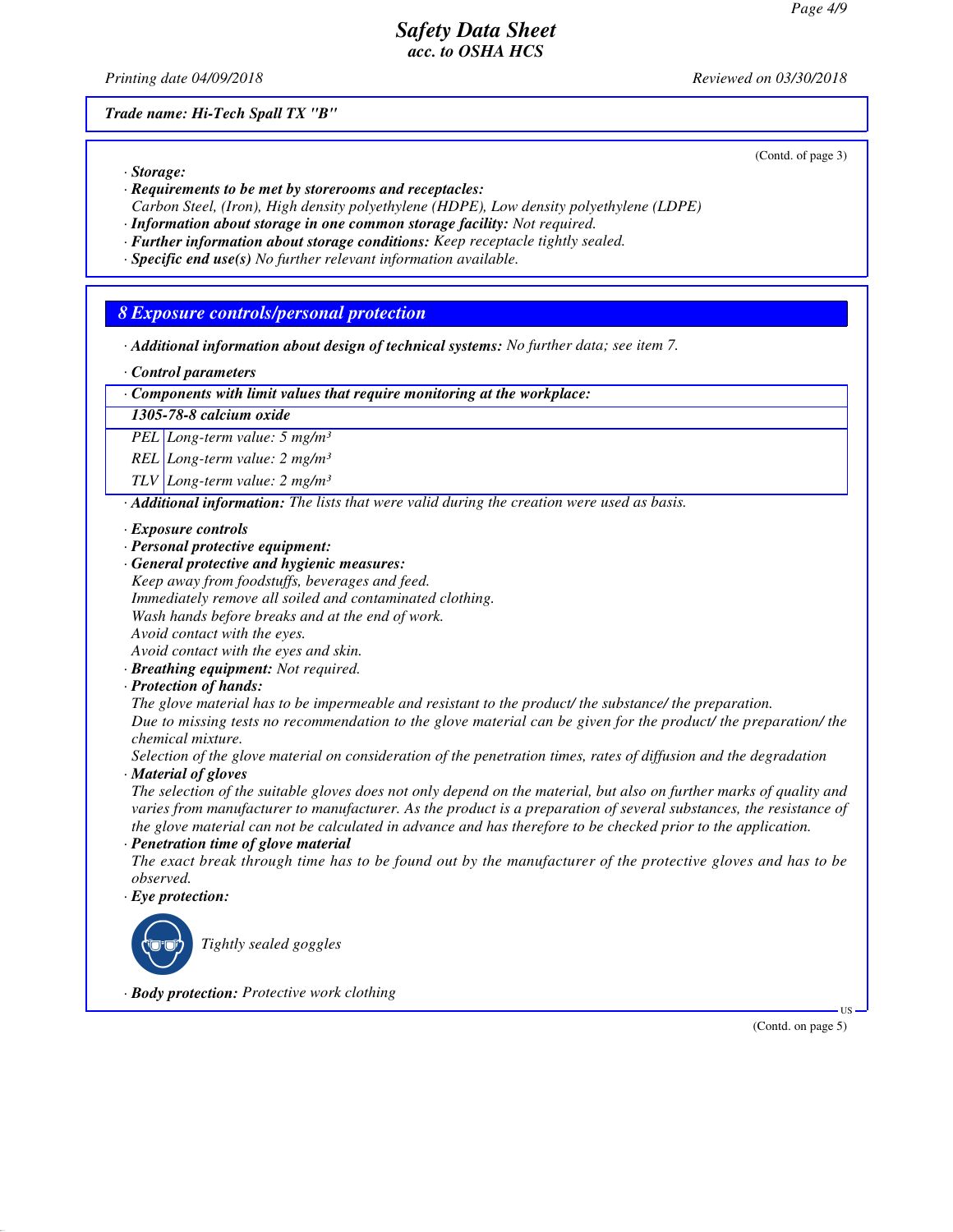*Printing date 04/09/2018 Reviewed on 03/30/2018*

(Contd. of page 3)

*Trade name: Hi-Tech Spall TX "B"*

*· Storage:*

- *· Requirements to be met by storerooms and receptacles:*
- *Carbon Steel, (Iron), High density polyethylene (HDPE), Low density polyethylene (LDPE)*
- *· Information about storage in one common storage facility: Not required.*
- *· Further information about storage conditions: Keep receptacle tightly sealed.*
- *· Specific end use(s) No further relevant information available.*

## *8 Exposure controls/personal protection*

*· Additional information about design of technical systems: No further data; see item 7.*

*· Control parameters*

*· Components with limit values that require monitoring at the workplace:*

#### *1305-78-8 calcium oxide*

*PEL Long-term value: 5 mg/m³*

*REL Long-term value: 2 mg/m³*

*TLV Long-term value: 2 mg/m³*

*· Additional information: The lists that were valid during the creation were used as basis.*

#### *· Exposure controls*

- *· Personal protective equipment:*
- *· General protective and hygienic measures:*
- *Keep away from foodstuffs, beverages and feed.*
- *Immediately remove all soiled and contaminated clothing.*

*Wash hands before breaks and at the end of work.*

*Avoid contact with the eyes.*

*Avoid contact with the eyes and skin.*

*· Breathing equipment: Not required.*

*· Protection of hands:*

*The glove material has to be impermeable and resistant to the product/ the substance/ the preparation.*

*Due to missing tests no recommendation to the glove material can be given for the product/ the preparation/ the chemical mixture.*

*Selection of the glove material on consideration of the penetration times, rates of diffusion and the degradation · Material of gloves*

*The selection of the suitable gloves does not only depend on the material, but also on further marks of quality and varies from manufacturer to manufacturer. As the product is a preparation of several substances, the resistance of the glove material can not be calculated in advance and has therefore to be checked prior to the application.*

*· Penetration time of glove material*

*The exact break through time has to be found out by the manufacturer of the protective gloves and has to be observed.*

*· Eye protection:*

\_R*Tightly sealed goggles*

*· Body protection: Protective work clothing*

(Contd. on page 5)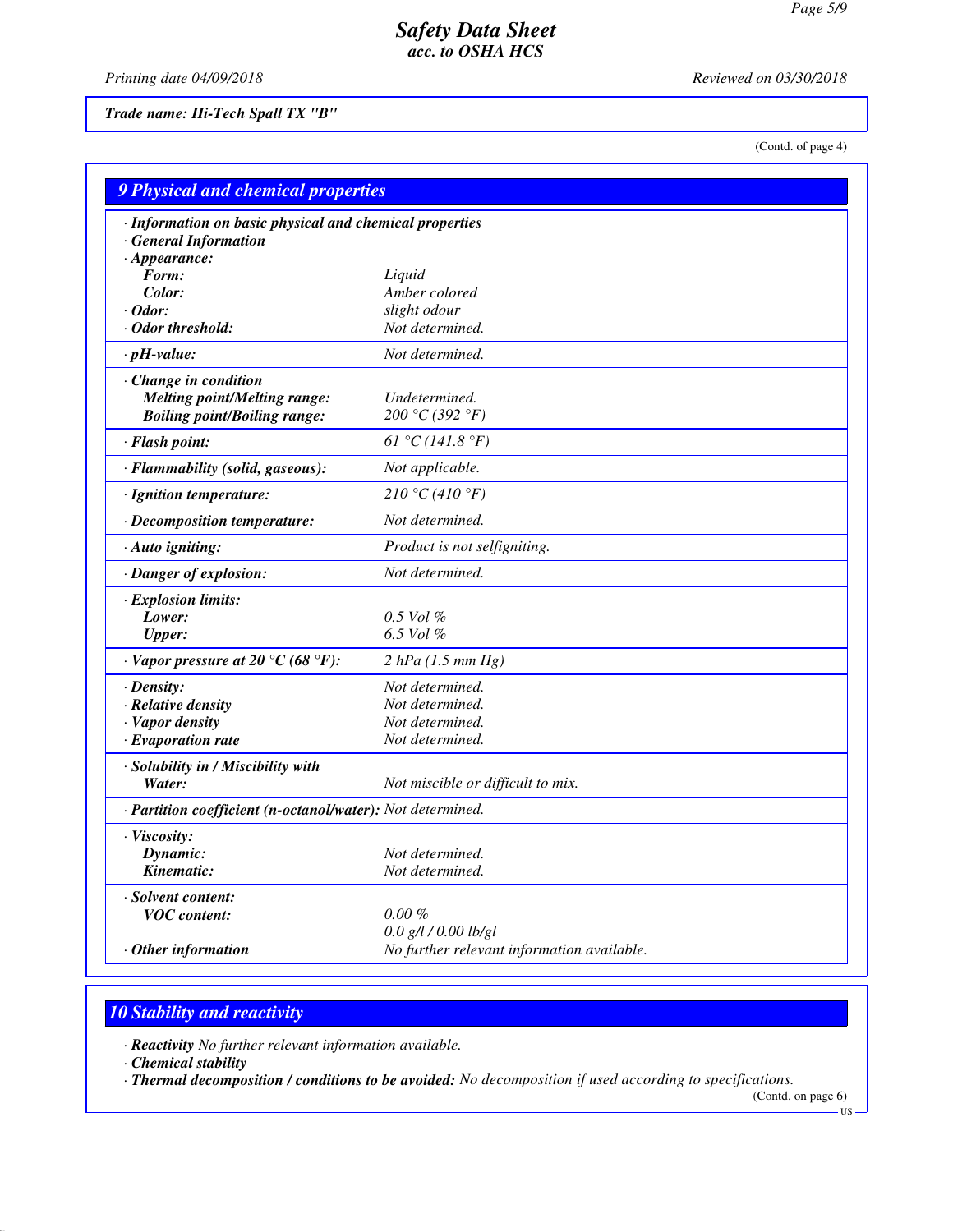*Printing date 04/09/2018 Reviewed on 03/30/2018*

*Trade name: Hi-Tech Spall TX "B"*

(Contd. of page 4)

| <b>9 Physical and chemical properties</b>                                  |                                            |  |  |  |
|----------------------------------------------------------------------------|--------------------------------------------|--|--|--|
| · Information on basic physical and chemical properties                    |                                            |  |  |  |
| <b>General Information</b>                                                 |                                            |  |  |  |
| $\cdot$ Appearance:                                                        |                                            |  |  |  |
| Form:                                                                      | Liquid                                     |  |  |  |
| Color:<br>$\cdot$ Odor:                                                    | Amber colored<br>slight odour              |  |  |  |
| · Odor threshold:                                                          | Not determined.                            |  |  |  |
| $\cdot$ pH-value:                                                          | Not determined.                            |  |  |  |
|                                                                            |                                            |  |  |  |
| · Change in condition                                                      | Undetermined.                              |  |  |  |
| <b>Melting point/Melting range:</b><br><b>Boiling point/Boiling range:</b> | 200 °C (392 °F)                            |  |  |  |
|                                                                            |                                            |  |  |  |
| · Flash point:                                                             | 61 °C (141.8 °F)                           |  |  |  |
| · Flammability (solid, gaseous):                                           | Not applicable.                            |  |  |  |
| · Ignition temperature:                                                    | 210 °C (410 °F)                            |  |  |  |
| · Decomposition temperature:                                               | Not determined.                            |  |  |  |
| · Auto igniting:                                                           | Product is not selfigniting.               |  |  |  |
| · Danger of explosion:                                                     | Not determined.                            |  |  |  |
| · Explosion limits:                                                        |                                            |  |  |  |
| Lower:                                                                     | $0.5$ Vol $\%$                             |  |  |  |
| Upper:                                                                     | 6.5 Vol %                                  |  |  |  |
| $\cdot$ Vapor pressure at 20 °C (68 °F):                                   | 2 hPa (1.5 mm Hg)                          |  |  |  |
| · Density:                                                                 | Not determined.                            |  |  |  |
| · Relative density                                                         | Not determined.                            |  |  |  |
| · Vapor density                                                            | Not determined.                            |  |  |  |
| $\cdot$ Evaporation rate                                                   | Not determined.                            |  |  |  |
| · Solubility in / Miscibility with                                         |                                            |  |  |  |
| Water:                                                                     | Not miscible or difficult to mix.          |  |  |  |
| · Partition coefficient (n-octanol/water): Not determined.                 |                                            |  |  |  |
| · Viscosity:                                                               |                                            |  |  |  |
| Dynamic:                                                                   | Not determined.                            |  |  |  |
| Kinematic:                                                                 | Not determined.                            |  |  |  |
| · Solvent content:                                                         |                                            |  |  |  |
| <b>VOC</b> content:                                                        | $0.00\%$                                   |  |  |  |
|                                                                            | $0.0$ g/l / $0.00$ lb/gl                   |  |  |  |
| $\cdot$ Other information                                                  | No further relevant information available. |  |  |  |

# *10 Stability and reactivity*

*· Reactivity No further relevant information available.*

*· Chemical stability*

*· Thermal decomposition / conditions to be avoided: No decomposition if used according to specifications.*

(Contd. on page 6)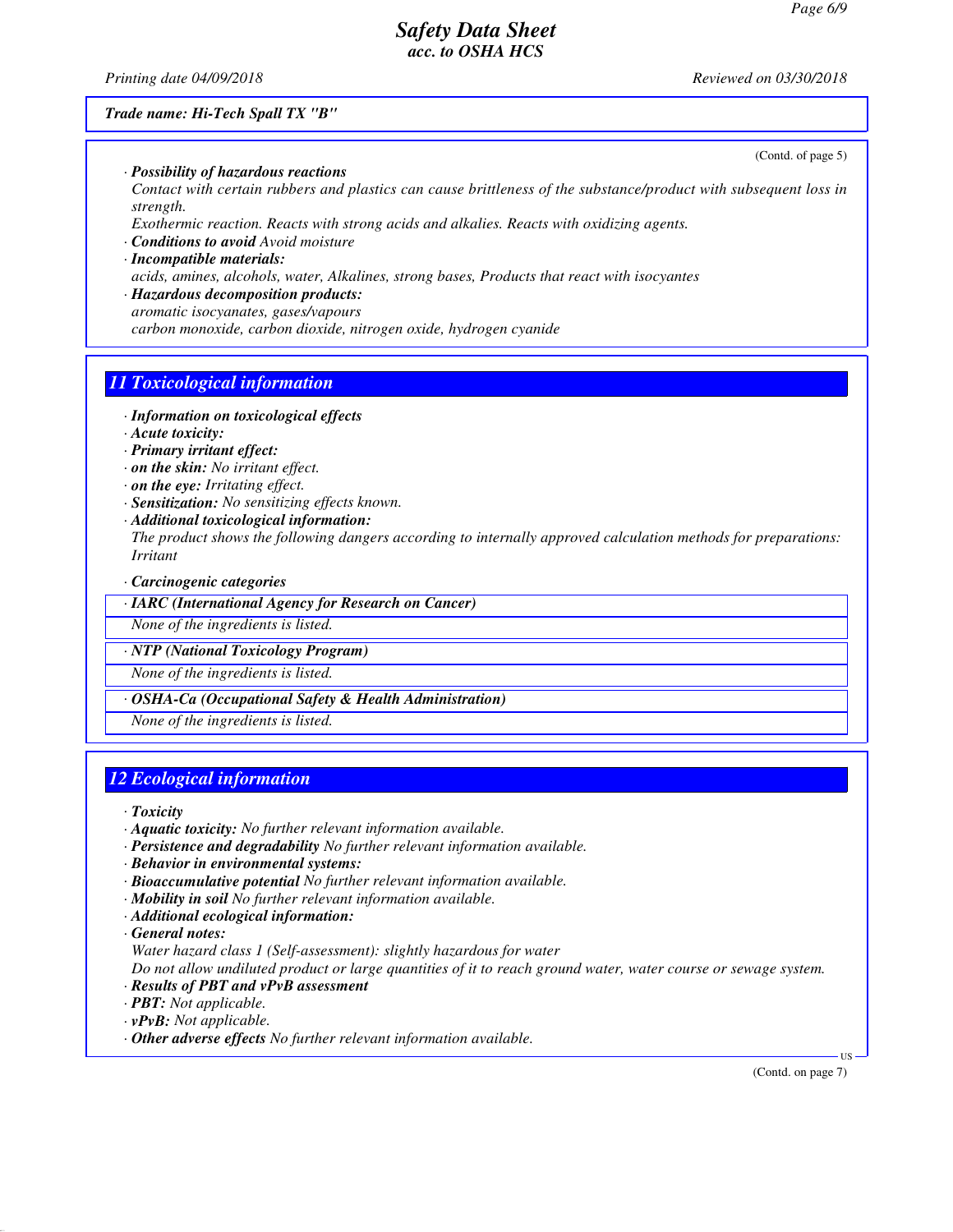*Printing date 04/09/2018 Reviewed on 03/30/2018*

(Contd. of page 5)

#### *Trade name: Hi-Tech Spall TX "B"*

*· Possibility of hazardous reactions*

*Contact with certain rubbers and plastics can cause brittleness of the substance/product with subsequent loss in strength.*

*Exothermic reaction. Reacts with strong acids and alkalies. Reacts with oxidizing agents.*

*· Conditions to avoid Avoid moisture*

## *· Incompatible materials: acids, amines, alcohols, water, Alkalines, strong bases, Products that react with isocyantes*

*· Hazardous decomposition products: aromatic isocyanates, gases/vapours carbon monoxide, carbon dioxide, nitrogen oxide, hydrogen cyanide*

## *11 Toxicological information*

- *· Information on toxicological effects*
- *· Acute toxicity:*
- *· Primary irritant effect:*
- *· on the skin: No irritant effect.*
- *· on the eye: Irritating effect.*
- *· Sensitization: No sensitizing effects known.*
- *· Additional toxicological information:*
- *The product shows the following dangers according to internally approved calculation methods for preparations: Irritant*
- *· Carcinogenic categories*

*· IARC (International Agency for Research on Cancer)*

*None of the ingredients is listed.*

*· NTP (National Toxicology Program)*

*None of the ingredients is listed.*

*· OSHA-Ca (Occupational Safety & Health Administration)*

*None of the ingredients is listed.*

# *12 Ecological information*

*· Toxicity*

- *· Aquatic toxicity: No further relevant information available.*
- *· Persistence and degradability No further relevant information available.*
- *· Behavior in environmental systems:*
- *· Bioaccumulative potential No further relevant information available.*
- *· Mobility in soil No further relevant information available.*
- *· Additional ecological information:*
- *· General notes:*

*Water hazard class 1 (Self-assessment): slightly hazardous for water*

*Do not allow undiluted product or large quantities of it to reach ground water, water course or sewage system.*

- *· Results of PBT and vPvB assessment*
- *· PBT: Not applicable.*
- *· vPvB: Not applicable.*
- *· Other adverse effects No further relevant information available.*

(Contd. on page 7)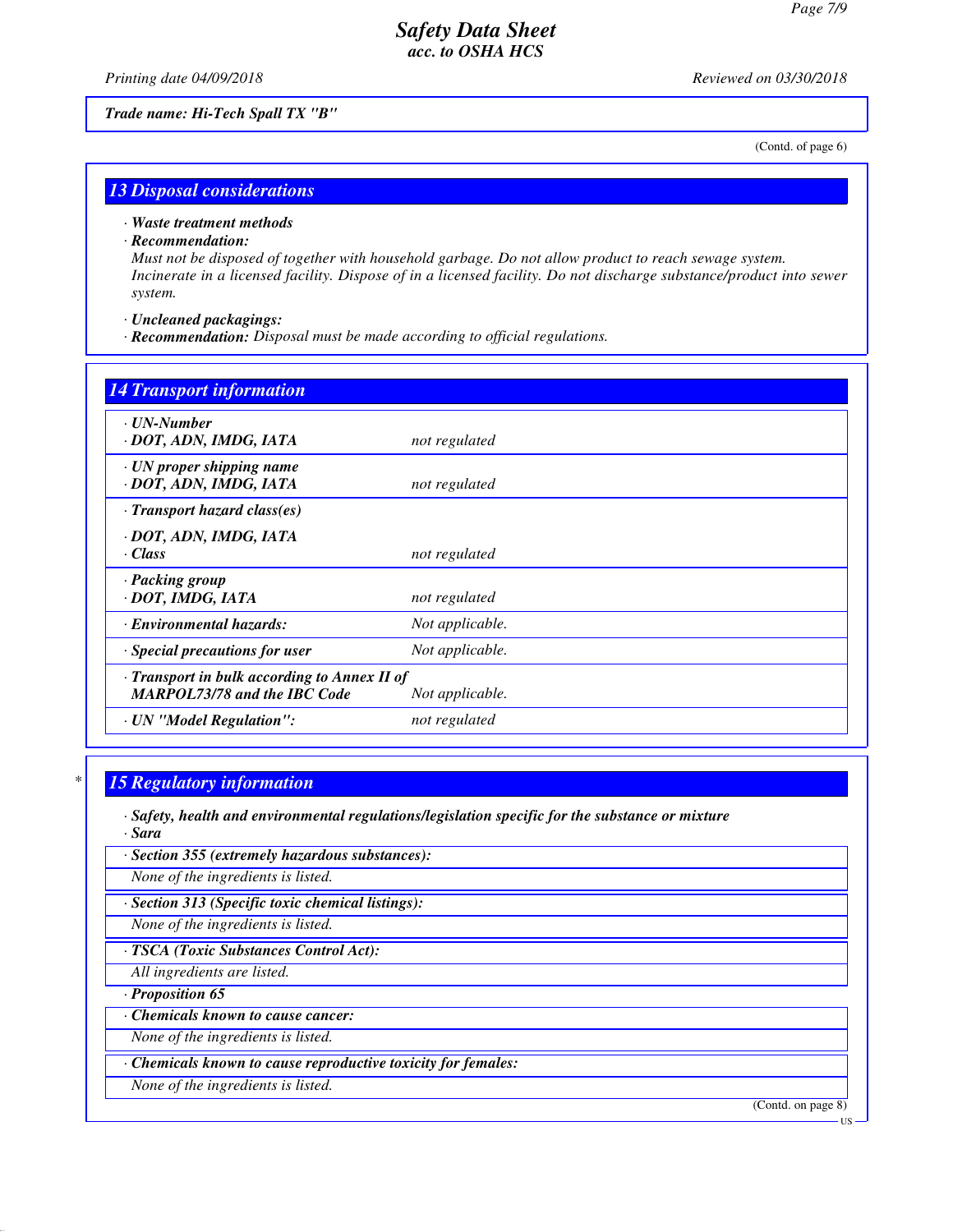*Printing date 04/09/2018 Reviewed on 03/30/2018*

*Trade name: Hi-Tech Spall TX "B"*

(Contd. of page 6)

#### *13 Disposal considerations*

*· Waste treatment methods*

*· Recommendation:*

*Must not be disposed of together with household garbage. Do not allow product to reach sewage system. Incinerate in a licensed facility. Dispose of in a licensed facility. Do not discharge substance/product into sewer system.*

*· Uncleaned packagings:*

*· Recommendation: Disposal must be made according to official regulations.*

| <b>14 Transport information</b>                                                           |                 |
|-------------------------------------------------------------------------------------------|-----------------|
| · UN-Number<br>· DOT, ADN, IMDG, IATA                                                     | not regulated   |
| $\cdot$ UN proper shipping name<br>· DOT, ADN, IMDG, IATA                                 | not regulated   |
| $\cdot$ Transport hazard class(es)                                                        |                 |
| · DOT, ADN, IMDG, IATA<br>$\cdot Class$                                                   | not regulated   |
| · Packing group<br>· DOT, IMDG, IATA                                                      | not regulated   |
| · Environmental hazards:                                                                  | Not applicable. |
| Special precautions for user                                                              | Not applicable. |
| $\cdot$ Transport in bulk according to Annex II of<br><b>MARPOL73/78 and the IBC Code</b> | Not applicable. |
| · UN "Model Regulation":                                                                  | not regulated   |

## *\* 15 Regulatory information*

*· Safety, health and environmental regulations/legislation specific for the substance or mixture*

*· Sara*

*· Section 355 (extremely hazardous substances):*

*None of the ingredients is listed.*

*· Section 313 (Specific toxic chemical listings):*

*None of the ingredients is listed.*

*· TSCA (Toxic Substances Control Act):*

*All ingredients are listed.*

*· Proposition 65*

*· Chemicals known to cause cancer:*

*None of the ingredients is listed.*

*· Chemicals known to cause reproductive toxicity for females:*

*None of the ingredients is listed.*

(Contd. on page 8)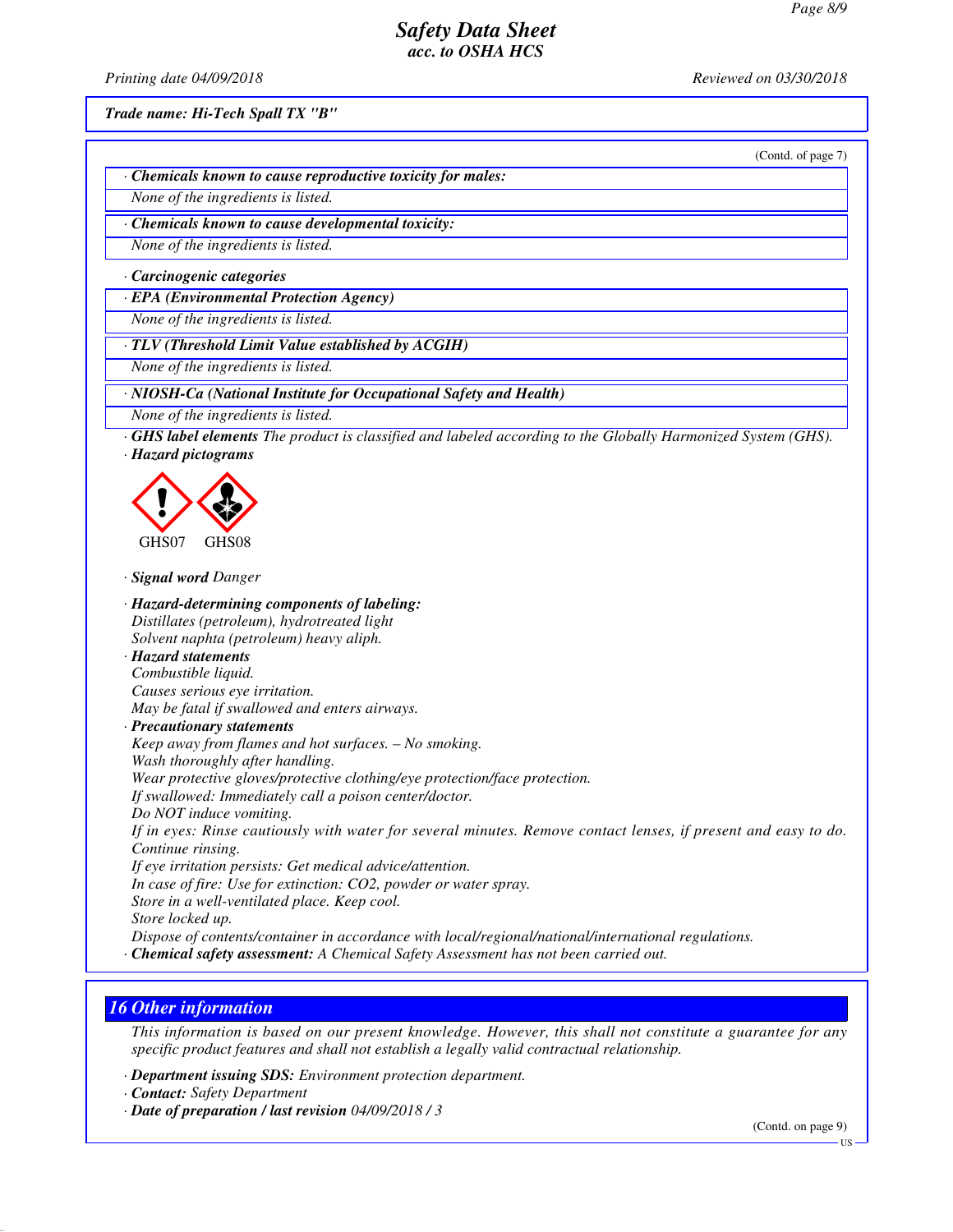*Printing date 04/09/2018 Reviewed on 03/30/2018*

*Trade name: Hi-Tech Spall TX "B"*

(Contd. of page 7)

*· Chemicals known to cause reproductive toxicity for males:*

*None of the ingredients is listed.*

*· Chemicals known to cause developmental toxicity:*

*None of the ingredients is listed.*

*· Carcinogenic categories*

*· EPA (Environmental Protection Agency)*

*None of the ingredients is listed.*

*· TLV (Threshold Limit Value established by ACGIH)*

*None of the ingredients is listed.*

*· NIOSH-Ca (National Institute for Occupational Safety and Health)*

*None of the ingredients is listed.*

*· GHS label elements The product is classified and labeled according to the Globally Harmonized System (GHS). · Hazard pictograms*



*· Signal word Danger*

*· Hazard-determining components of labeling: Distillates (petroleum), hydrotreated light Solvent naphta (petroleum) heavy aliph. · Hazard statements Combustible liquid. Causes serious eye irritation. May be fatal if swallowed and enters airways. · Precautionary statements Keep away from flames and hot surfaces. – No smoking. Wash thoroughly after handling. Wear protective gloves/protective clothing/eye protection/face protection. If swallowed: Immediately call a poison center/doctor. Do NOT induce vomiting. If in eyes: Rinse cautiously with water for several minutes. Remove contact lenses, if present and easy to do. Continue rinsing. If eye irritation persists: Get medical advice/attention. In case of fire: Use for extinction: CO2, powder or water spray. Store in a well-ventilated place. Keep cool. Store locked up. Dispose of contents/container in accordance with local/regional/national/international regulations. · Chemical safety assessment: A Chemical Safety Assessment has not been carried out.*

#### *16 Other information*

*This information is based on our present knowledge. However, this shall not constitute a guarantee for any specific product features and shall not establish a legally valid contractual relationship.*

*· Department issuing SDS: Environment protection department.*

*· Contact: Safety Department*

*· Date of preparation / last revision 04/09/2018 / 3*

(Contd. on page 9)

US